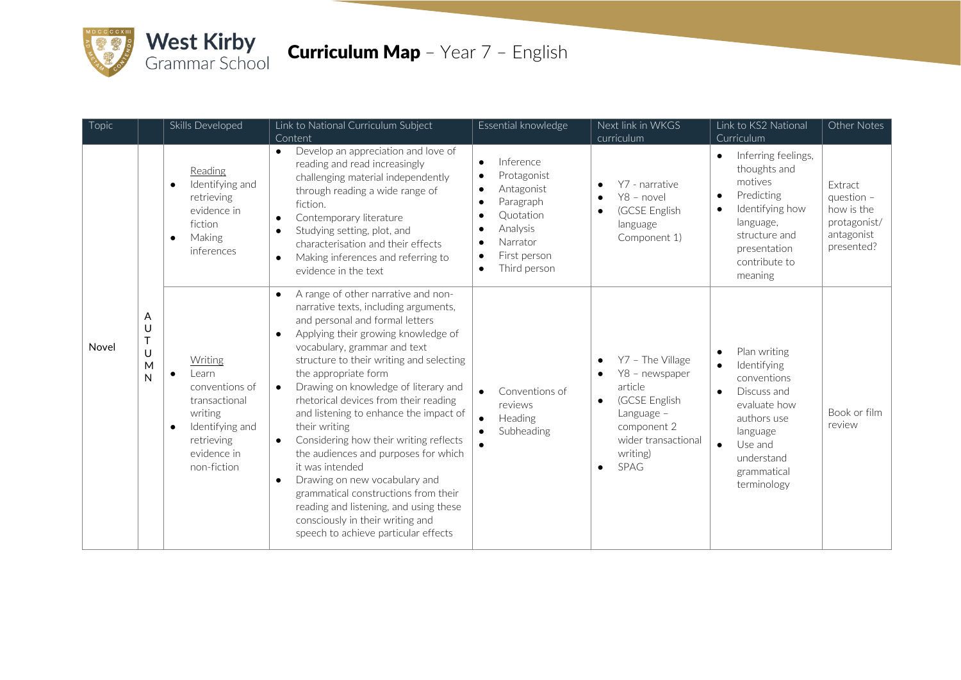

| Topic |                                      | Skills Developed                                                                                                                                        | Link to National Curriculum Subject<br>Content                                                                                                                                                                                                                                                                                                                                                                                                                                                                                                                                                                                                                                                                                                                              | Essential knowledge                                                                                                                                                                                                              | Next link in WKGS<br>curriculum                                                                                                                                  | Link to KS2 National<br>Curriculum                                                                                                                                                                 | Other Notes                                                                            |
|-------|--------------------------------------|---------------------------------------------------------------------------------------------------------------------------------------------------------|-----------------------------------------------------------------------------------------------------------------------------------------------------------------------------------------------------------------------------------------------------------------------------------------------------------------------------------------------------------------------------------------------------------------------------------------------------------------------------------------------------------------------------------------------------------------------------------------------------------------------------------------------------------------------------------------------------------------------------------------------------------------------------|----------------------------------------------------------------------------------------------------------------------------------------------------------------------------------------------------------------------------------|------------------------------------------------------------------------------------------------------------------------------------------------------------------|----------------------------------------------------------------------------------------------------------------------------------------------------------------------------------------------------|----------------------------------------------------------------------------------------|
|       |                                      | Reading<br>Identifying and<br>$\bullet$<br>retrieving<br>evidence in<br>fiction<br>Making<br>$\bullet$<br>inferences                                    | Develop an appreciation and love of<br>$\bullet$<br>reading and read increasingly<br>challenging material independently<br>through reading a wide range of<br>fiction.<br>Contemporary literature<br>$\bullet$<br>Studying setting, plot, and<br>$\bullet$<br>characterisation and their effects<br>Making inferences and referring to<br>$\bullet$<br>evidence in the text.                                                                                                                                                                                                                                                                                                                                                                                                | Inference<br>$\bullet$<br>Protagonist<br>$\bullet$<br>Antagonist<br>$\bullet$<br>Paragraph<br>$\bullet$<br>Quotation<br>Analysis<br>$\bullet$<br>Narrator<br>$\bullet$<br>First person<br>$\bullet$<br>Third person<br>$\bullet$ | Y7 - narrative<br>$\bullet$<br>Y8 - novel<br>(GCSE English<br>$\bullet$<br>language<br>Component 1)                                                              | Inferring feelings,<br>thoughts and<br>motives<br>Predicting<br>$\bullet$<br>Identifying how<br>$\bullet$<br>language,<br>structure and<br>presentation<br>contribute to<br>meaning                | <b>Extract</b><br>question -<br>how is the<br>protagonist/<br>antagonist<br>presented? |
| Novel | Α<br>U<br>T<br>U<br>M<br>$\mathsf N$ | Writing<br>Learn<br>$\bullet$<br>conventions of<br>transactional<br>writing<br>Identifying and<br>$\bullet$<br>retrieving<br>evidence in<br>non-fiction | A range of other narrative and non-<br>$\bullet$<br>narrative texts, including arguments,<br>and personal and formal letters<br>Applying their growing knowledge of<br>$\bullet$<br>vocabulary, grammar and text<br>structure to their writing and selecting<br>the appropriate form<br>Drawing on knowledge of literary and<br>$\bullet$<br>rhetorical devices from their reading<br>and listening to enhance the impact of<br>their writing<br>Considering how their writing reflects<br>$\bullet$<br>the audiences and purposes for which<br>it was intended<br>Drawing on new vocabulary and<br>$\bullet$<br>grammatical constructions from their<br>reading and listening, and using these<br>consciously in their writing and<br>speech to achieve particular effects | Conventions of<br>reviews<br>Heading<br>Subheading                                                                                                                                                                               | Y7 - The Village<br>Y8 - newspaper<br>article<br>(GCSE English<br>$\bullet$<br>Language -<br>component 2<br>wider transactional<br>writing)<br>SPAG<br>$\bullet$ | Plan writing<br>$\bullet$<br>Identifying<br>conventions<br>Discuss and<br>$\bullet$<br>evaluate how<br>authors use<br>language<br>Use and<br>$\bullet$<br>understand<br>grammatical<br>terminology | Book or film<br>review                                                                 |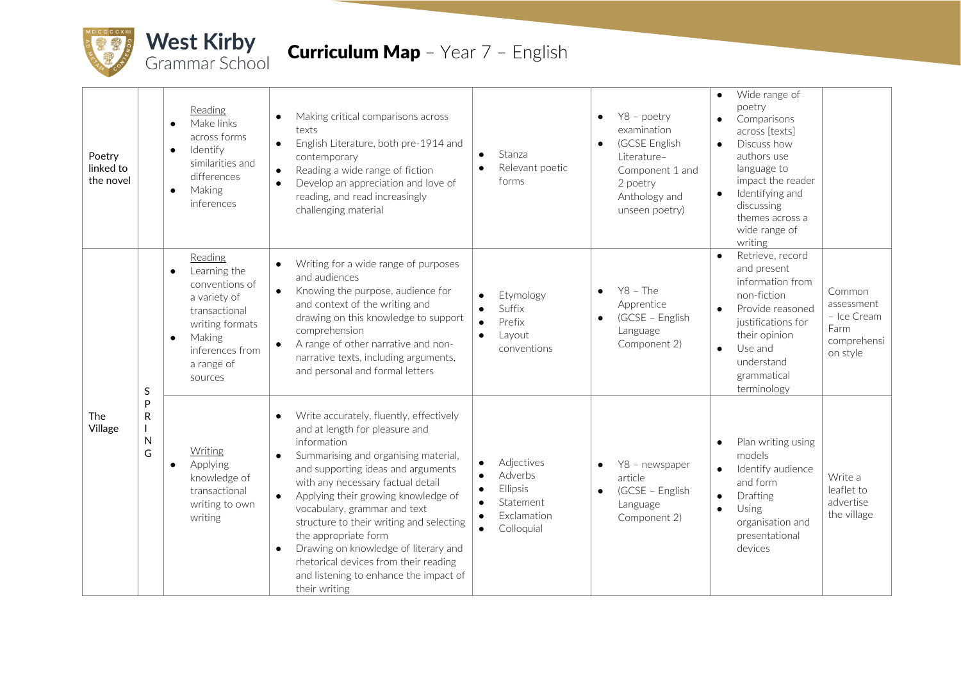

| Poetry<br>linked to<br>the novel |                             | Reading<br>Make links<br>$\bullet$<br>across forms<br>Identify<br>$\bullet$<br>similarities and<br>differences<br>Making<br>$\bullet$<br>inferences                           | Making critical comparisons across<br>texts<br>English Literature, both pre-1914 and<br>$\bullet$<br>contemporary<br>Reading a wide range of fiction<br>$\bullet$<br>Develop an appreciation and love of<br>$\bullet$<br>reading, and read increasingly<br>challenging material                                                                                                                                                                                                                                              | $\bullet$                                        | Stanza<br>Relevant poetic<br>forms                                                 | $\bullet$<br>$\bullet$ | Y8 - poetry<br>examination<br>(GCSE English<br>Literature-<br>Component 1 and<br>2 poetry<br>Anthology and<br>unseen poetry) | $\bullet$<br>$\bullet$<br>$\bullet$              | Wide range of<br>poetry<br>Comparisons<br>across [texts]<br>Discuss how<br>authors use<br>language to<br>impact the reader<br>Identifying and<br>discussing<br>themes across a<br>wide range of<br>writing |                                                                        |
|----------------------------------|-----------------------------|-------------------------------------------------------------------------------------------------------------------------------------------------------------------------------|------------------------------------------------------------------------------------------------------------------------------------------------------------------------------------------------------------------------------------------------------------------------------------------------------------------------------------------------------------------------------------------------------------------------------------------------------------------------------------------------------------------------------|--------------------------------------------------|------------------------------------------------------------------------------------|------------------------|------------------------------------------------------------------------------------------------------------------------------|--------------------------------------------------|------------------------------------------------------------------------------------------------------------------------------------------------------------------------------------------------------------|------------------------------------------------------------------------|
| The<br>Village                   | S                           | Reading<br>Learning the<br>$\bullet$<br>conventions of<br>a variety of<br>transactional<br>writing formats<br>Making<br>$\bullet$<br>inferences from<br>a range of<br>sources | Writing for a wide range of purposes<br>and audiences<br>Knowing the purpose, audience for<br>$\bullet$<br>and context of the writing and<br>drawing on this knowledge to support<br>comprehension<br>A range of other narrative and non-<br>$\bullet$<br>narrative texts, including arguments,<br>and personal and formal letters                                                                                                                                                                                           | $\bullet$<br>$\bullet$<br>$\bullet$              | Etymology<br>Suffix<br>Prefix<br>Layout<br>conventions                             | $\bullet$<br>$\bullet$ | $Y8 - The$<br>Apprentice<br>(GCSE - English<br>Language<br>Component 2)                                                      | $\bullet$<br>$\bullet$                           | Retrieve, record<br>and present<br>information from<br>non-fiction<br>Provide reasoned<br>justifications for<br>their opinion<br>Use and<br>understand<br>grammatical<br>terminology                       | Common<br>assessment<br>- Ice Cream<br>Farm<br>comprehensi<br>on style |
|                                  | P<br>$\mathsf{R}$<br>N<br>G | Writing<br>Applying<br>$\bullet$<br>knowledge of<br>transactional<br>writing to own<br>writing                                                                                | Write accurately, fluently, effectively<br>and at length for pleasure and<br>information<br>Summarising and organising material,<br>and supporting ideas and arguments<br>with any necessary factual detail<br>Applying their growing knowledge of<br>$\bullet$<br>vocabulary, grammar and text<br>structure to their writing and selecting<br>the appropriate form<br>Drawing on knowledge of literary and<br>$\bullet$<br>rhetorical devices from their reading<br>and listening to enhance the impact of<br>their writing | $\bullet$<br>$\bullet$<br>$\bullet$<br>$\bullet$ | Adjectives<br>Adverbs<br><b>Ellipsis</b><br>Statement<br>Exclamation<br>Colloquial | $\bullet$              | Y8 - newspaper<br>article<br>(GCSE - English<br>Language<br>Component 2)                                                     | $\bullet$<br>$\bullet$<br>$\bullet$<br>$\bullet$ | Plan writing using<br>models<br>Identify audience<br>and form<br>Drafting<br>Using<br>organisation and<br>presentational<br>devices                                                                        | Write a<br>leaflet to<br>advertise<br>the village                      |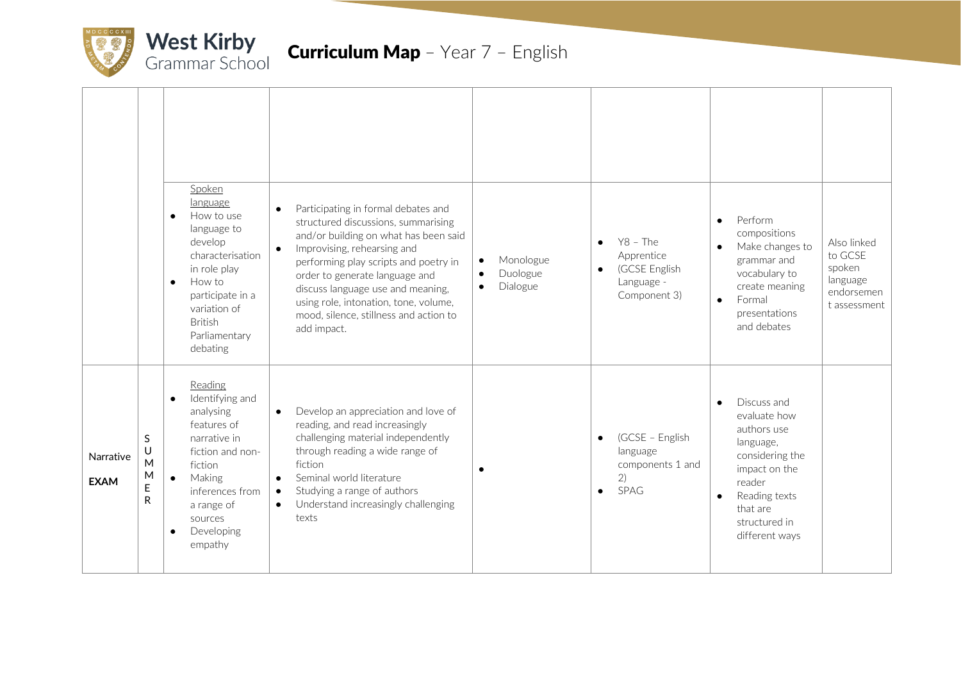

|                          |                                      | Spoken<br>language<br>How to use<br>$\bullet$<br>language to<br>develop<br>characterisation<br>in role play<br>How to<br>$\bullet$<br>participate in a<br>variation of<br><b>British</b><br>Parliamentary<br>debating       | Participating in formal debates and<br>$\bullet$<br>structured discussions, summarising<br>and/or building on what has been said<br>Improvising, rehearsing and<br>$\bullet$<br>performing play scripts and poetry in<br>order to generate language and<br>discuss language use and meaning,<br>using role, intonation, tone, volume,<br>mood, silence, stillness and action to<br>add impact. | Monologue<br>$\bullet$<br>Duologue<br>$\bullet$<br>Dialogue<br>$\bullet$ | $Y8 - The$<br>$\bullet$<br>Apprentice<br>(GCSE English<br>$\bullet$<br>Language -<br>Component 3) | Perform<br>$\bullet$<br>compositions<br>Make changes to<br>$\bullet$<br>grammar and<br>vocabulary to<br>create meaning<br>Formal<br>$\bullet$<br>presentations<br>and debates                   | Also linked<br>to GCSF<br>spoken<br>language<br>endorsemen<br>t assessment |
|--------------------------|--------------------------------------|-----------------------------------------------------------------------------------------------------------------------------------------------------------------------------------------------------------------------------|------------------------------------------------------------------------------------------------------------------------------------------------------------------------------------------------------------------------------------------------------------------------------------------------------------------------------------------------------------------------------------------------|--------------------------------------------------------------------------|---------------------------------------------------------------------------------------------------|-------------------------------------------------------------------------------------------------------------------------------------------------------------------------------------------------|----------------------------------------------------------------------------|
| Narrative<br><b>EXAM</b> | S<br>U<br>M<br>M<br>E<br>$\mathsf R$ | Reading<br>Identifying and<br>$\bullet$<br>analysing<br>features of<br>narrative in<br>fiction and non-<br>fiction<br>Making<br>$\bullet$<br>inferences from<br>a range of<br>sources<br>Developing<br>$\bullet$<br>empathy | Develop an appreciation and love of<br>$\bullet$<br>reading, and read increasingly<br>challenging material independently<br>through reading a wide range of<br>fiction<br>Seminal world literature<br>$\bullet$<br>Studying a range of authors<br>$\bullet$<br>Understand increasingly challenging<br>$\bullet$<br>texts                                                                       | $\bullet$                                                                | (GCSE - English<br>$\bullet$<br>language<br>components 1 and<br>2)<br><b>SPAG</b><br>$\bullet$    | Discuss and<br>$\bullet$<br>evaluate how<br>authors use<br>language,<br>considering the<br>impact on the<br>reader<br>Reading texts<br>$\bullet$<br>that are<br>structured in<br>different ways |                                                                            |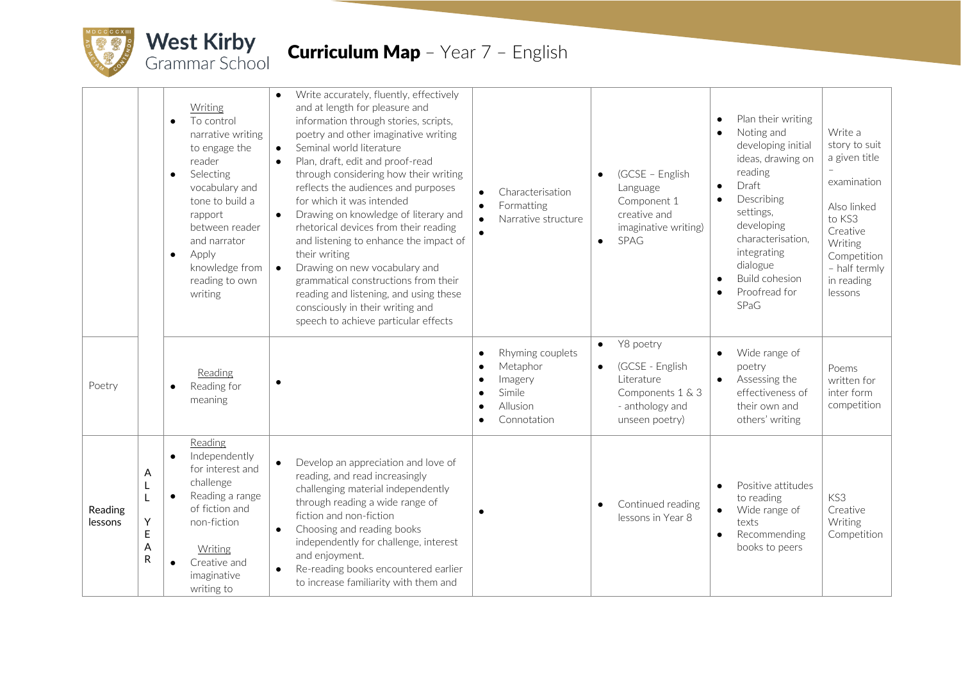

|                    |                                              | Writing<br>To control<br>$\bullet$<br>narrative writing<br>to engage the<br>reader<br>Selecting<br>$\bullet$<br>vocabulary and<br>tone to build a<br>rapport<br>between reader<br>and narrator<br>Apply<br>$\bullet$<br>knowledge from<br>reading to own<br>writing | Write accurately, fluently, effectively<br>and at length for pleasure and<br>information through stories, scripts,<br>poetry and other imaginative writing<br>Seminal world literature<br>$\bullet$<br>Plan, draft, edit and proof-read<br>$\bullet$<br>through considering how their writing<br>reflects the audiences and purposes<br>for which it was intended<br>Drawing on knowledge of literary and<br>$\bullet$<br>rhetorical devices from their reading<br>and listening to enhance the impact of<br>their writing<br>Drawing on new vocabulary and<br>$\bullet$<br>grammatical constructions from their<br>reading and listening, and using these<br>consciously in their writing and<br>speech to achieve particular effects | $\bullet$<br>$\bullet$<br>$\bullet$ | Characterisation<br>Formatting<br>Narrative structure                        | $\bullet$ | (GCSE - English<br>Language<br>Component 1<br>creative and<br>imaginative writing)<br>SPAG          | $\bullet$<br>$\bullet$              | Plan their writing<br>Noting and<br>developing initial<br>ideas, drawing on<br>reading<br>Draft<br>Describing<br>settings,<br>developing<br>characterisation.<br>integrating<br>dialogue<br><b>Build cohesion</b><br>Proofread for<br>SPaG | Write a<br>story to suit<br>a given title<br>examination<br>Also linked<br>to KS3<br>Creative<br>Writing<br>Competition<br>- half termly<br>in reading<br>lessons |
|--------------------|----------------------------------------------|---------------------------------------------------------------------------------------------------------------------------------------------------------------------------------------------------------------------------------------------------------------------|----------------------------------------------------------------------------------------------------------------------------------------------------------------------------------------------------------------------------------------------------------------------------------------------------------------------------------------------------------------------------------------------------------------------------------------------------------------------------------------------------------------------------------------------------------------------------------------------------------------------------------------------------------------------------------------------------------------------------------------|-------------------------------------|------------------------------------------------------------------------------|-----------|-----------------------------------------------------------------------------------------------------|-------------------------------------|--------------------------------------------------------------------------------------------------------------------------------------------------------------------------------------------------------------------------------------------|-------------------------------------------------------------------------------------------------------------------------------------------------------------------|
| Poetry             |                                              | Reading<br>Reading for<br>$\bullet$<br>meaning                                                                                                                                                                                                                      |                                                                                                                                                                                                                                                                                                                                                                                                                                                                                                                                                                                                                                                                                                                                        | $\bullet$<br>$\bullet$<br>$\bullet$ | Rhyming couplets<br>Metaphor<br>Imagery<br>Simile<br>Allusion<br>Connotation |           | Y8 poetry<br>(GCSE - English<br>Literature<br>Components 1 & 3<br>- anthology and<br>unseen poetry) |                                     | Wide range of<br>poetry<br>Assessing the<br>effectiveness of<br>their own and<br>others' writing                                                                                                                                           | Poems<br>written for<br>inter form<br>competition                                                                                                                 |
| Reading<br>lessons | A<br>L<br>Υ<br>$\mathsf E$<br>A<br>${\sf R}$ | Reading<br>Independently<br>$\bullet$<br>for interest and<br>challenge<br>Reading a range<br>$\bullet$<br>of fiction and<br>non-fiction<br>Writing<br>Creative and<br>$\bullet$<br>imaginative<br>writing to                                                        | Develop an appreciation and love of<br>$\bullet$<br>reading, and read increasingly<br>challenging material independently<br>through reading a wide range of<br>fiction and non-fiction<br>Choosing and reading books<br>$\bullet$<br>independently for challenge, interest<br>and enjoyment.<br>Re-reading books encountered earlier<br>$\bullet$<br>to increase familiarity with them and                                                                                                                                                                                                                                                                                                                                             | $\bullet$                           |                                                                              |           | Continued reading<br>lessons in Year 8                                                              | $\bullet$<br>$\bullet$<br>$\bullet$ | Positive attitudes<br>to reading<br>Wide range of<br>texts<br>Recommending<br>books to peers                                                                                                                                               | KS3<br>Creative<br>Writing<br>Competition                                                                                                                         |